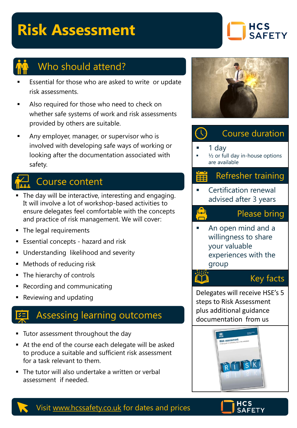# **Risk Assessment**





## Who should attend?

- Essential for those who are asked to write or update risk assessments.
- Also required for those who need to check on whether safe systems of work and risk assessments provided by others are suitable.
- Any employer, manager, or supervisor who is involved with developing safe ways of working or looking after the documentation associated with safety.

## Course content

- **The day will be interactive, interesting and engaging.** It will involve a lot of workshop-based activities to ensure delegates feel comfortable with the concepts and practice of risk management. We will cover:
- The legal requirements
- **Essential concepts hazard and risk**
- Understanding likelihood and severity
- Methods of reducing risk
- The hierarchy of controls
- Recording and communicating
- Reviewing and updating

## Assessing learning outcomes

- Tutor assessment throughout the day
- At the end of the course each delegate will be asked to produce a suitable and sufficient risk assessment for a task relevant to them.
- The tutor will also undertake a written or verbal assessment if needed.



#### $\bigcirc$ Course duration

#### 1 day

 $\frac{1}{2}$  or full day in-house options are available

### Refresher training

**Certification renewal** advised after 3 years

### Please bring

An open mind and a willingness to share your valuable experiences with the group

#### LY

Key facts

Delegates will receive HSE's 5 steps to Risk Assessment plus additional guidance documentation from us





#### Visit [www.hcssafety.co.uk](http://www.hcssafety.co.uk/) for dates and prices